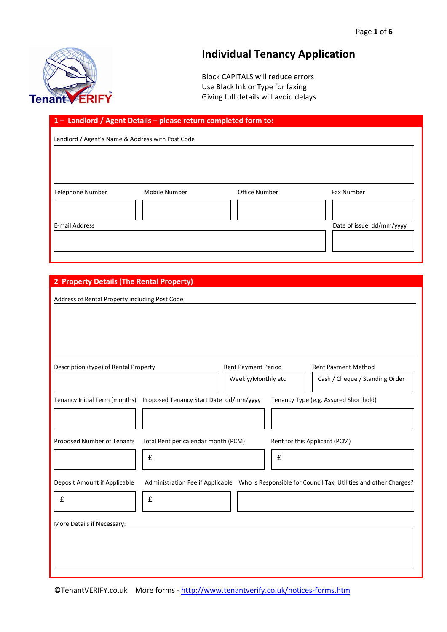

# **Individual Tenancy Application**

Block CAPITALS will reduce errors Use Black Ink or Type for faxing Giving full details will avoid delays

### **1 – Landlord / Agent Details – please return completed form to:**

Landlord / Agent's Name & Address with Post Code

| Telephone Number | Mobile Number | Office Number | Fax Number               |
|------------------|---------------|---------------|--------------------------|
|                  |               |               |                          |
| E-mail Address   |               |               | Date of issue dd/mm/yyyy |
|                  |               |               |                          |
|                  |               |               |                          |

### **2 Property Details (The Rental Property)**

| Address of Rental Property including Post Code                       |                                          |                                           |                                    |                                                                                                   |
|----------------------------------------------------------------------|------------------------------------------|-------------------------------------------|------------------------------------|---------------------------------------------------------------------------------------------------|
| Description (type) of Rental Property                                |                                          | Rent Payment Period<br>Weekly/Monthly etc |                                    | Rent Payment Method<br>Cash / Cheque / Standing Order                                             |
| Tenancy Initial Term (months) Proposed Tenancy Start Date dd/mm/yyyy |                                          |                                           |                                    | Tenancy Type (e.g. Assured Shorthold)                                                             |
| Proposed Number of Tenants                                           | Total Rent per calendar month (PCM)<br>£ |                                           | Rent for this Applicant (PCM)<br>£ |                                                                                                   |
| Deposit Amount if Applicable<br>£                                    | £                                        |                                           |                                    | Administration Fee if Applicable Who is Responsible for Council Tax, Utilities and other Charges? |
| More Details if Necessary:                                           |                                          |                                           |                                    |                                                                                                   |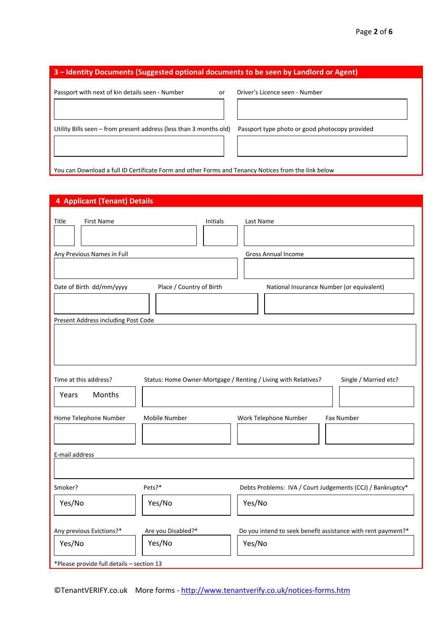| 3 – Identity Documents (Suggested optional documents to be seen by Landlord or Agent)               |                                                |  |  |  |  |
|-----------------------------------------------------------------------------------------------------|------------------------------------------------|--|--|--|--|
| Passport with next of kin details seen - Number<br>or                                               | Driver's Licence seen - Number                 |  |  |  |  |
| Utility Bills seen – from present address (less than 3 months old)                                  | Passport type photo or good photocopy provided |  |  |  |  |
| You can Download a full ID Certificate Form and other Forms and Tenancy Notices from the link below |                                                |  |  |  |  |

## **4 Applicant (Tenant) Details**

| Title<br>First Name<br>Any Previous Names in Full | Initials                                                       | Last Name<br>Gross Annual Income                             |
|---------------------------------------------------|----------------------------------------------------------------|--------------------------------------------------------------|
| Date of Birth dd/mm/yyyy                          | Place / Country of Birth                                       | National Insurance Number (or equivalent)                    |
|                                                   |                                                                |                                                              |
| Present Address including Post Code               |                                                                |                                                              |
|                                                   |                                                                |                                                              |
| Time at this address?                             | Status: Home Owner-Mortgage / Renting / Living with Relatives? | Single / Married etc?                                        |
| Months<br>Years                                   |                                                                |                                                              |
| Home Telephone Number                             | Mobile Number                                                  | Fax Number<br>Work Telephone Number                          |
| E-mail address                                    |                                                                |                                                              |
|                                                   |                                                                |                                                              |
| Smoker?                                           | Pets?*                                                         | Debts Problems: IVA / Court Judgements (CCJ) / Bankruptcy*   |
| Yes/No                                            | Yes/No                                                         | Yes/No                                                       |
| Any previous Evictions?*                          | Are you Disabled?*                                             | Do you intend to seek benefit assistance with rent payment?* |
| Yes/No                                            | Yes/No                                                         | Yes/No                                                       |
| *Please provide full details - section 13         |                                                                |                                                              |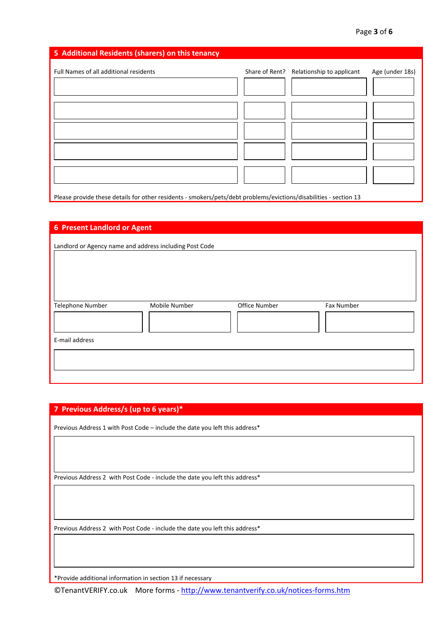## **5 Additional Residents (sharers) on this tenancy**

| Full Names of all additional residents                                                                            | Share of Rent? Relationship to applicant | Age (under 18s) |
|-------------------------------------------------------------------------------------------------------------------|------------------------------------------|-----------------|
|                                                                                                                   |                                          |                 |
|                                                                                                                   |                                          |                 |
|                                                                                                                   |                                          |                 |
|                                                                                                                   |                                          |                 |
|                                                                                                                   |                                          |                 |
|                                                                                                                   |                                          |                 |
| Place provide these details for other residents complexs (nots (debt problems /quistions /disphilities section 12 |                                          |                 |

Please provide these details for other residents ‐ smokers/pets/debt problems/evictions/disabilities ‐ section 13

| <b>6 Present Landlord or Agent</b>                      |               |               |            |
|---------------------------------------------------------|---------------|---------------|------------|
| Landlord or Agency name and address including Post Code |               |               |            |
| Telephone Number                                        | Mobile Number | Office Number | Fax Number |
| E-mail address                                          |               |               |            |

| 7 Previous Address/s (up to 6 years)*                                       |
|-----------------------------------------------------------------------------|
| Previous Address 1 with Post Code – include the date you left this address* |
|                                                                             |
|                                                                             |
|                                                                             |
| Previous Address 2 with Post Code - include the date you left this address* |
|                                                                             |
|                                                                             |
|                                                                             |
| Previous Address 2 with Post Code - include the date you left this address* |
|                                                                             |

\*Provide additional information in section 13 if necessary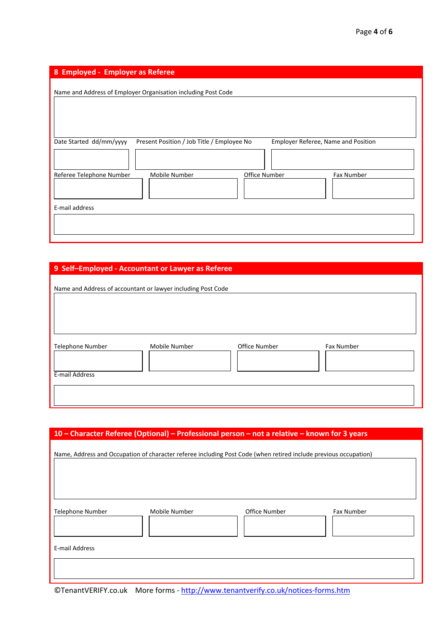| 8 Employed - Employer as Referee                                                                             |
|--------------------------------------------------------------------------------------------------------------|
| Name and Address of Employer Organisation including Post Code                                                |
| Date Started dd/mm/yyyy<br>Present Position / Job Title / Employee No<br>Employer Referee, Name and Position |
| Office Number<br>Referee Telephone Number<br>Mobile Number<br>Fax Number                                     |
| E-mail address                                                                                               |

# **9 Self–Employed ‐ Accountant or Lawyer as Referee**

| Name and Address of accountant or lawyer including Post Code |               |               |            |
|--------------------------------------------------------------|---------------|---------------|------------|
| <b>Telephone Number</b><br>E-mail Address                    | Mobile Number | Office Number | Fax Number |
|                                                              |               |               |            |

|                  |               | 10 - Character Referee (Optional) - Professional person - not a relative - known for 3 years                     |            |
|------------------|---------------|------------------------------------------------------------------------------------------------------------------|------------|
|                  |               | Name, Address and Occupation of character referee including Post Code (when retired include previous occupation) |            |
| Telephone Number | Mobile Number | Office Number                                                                                                    | Fax Number |
| E-mail Address   |               |                                                                                                                  |            |
|                  |               |                                                                                                                  |            |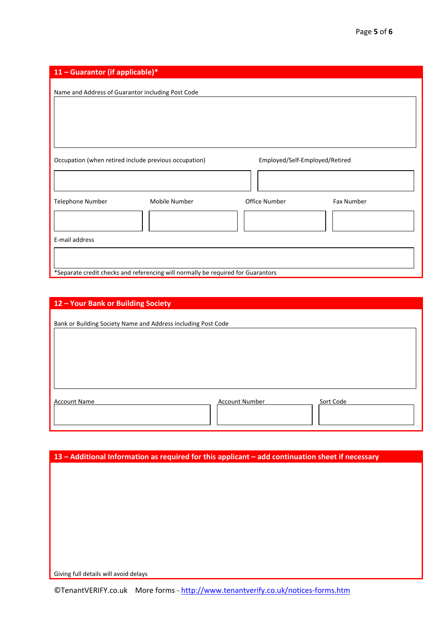| 11 - Guarantor (if applicable)*                                                  |               |                                |            |
|----------------------------------------------------------------------------------|---------------|--------------------------------|------------|
| Name and Address of Guarantor including Post Code                                |               |                                |            |
|                                                                                  |               |                                |            |
|                                                                                  |               |                                |            |
|                                                                                  |               |                                |            |
|                                                                                  |               |                                |            |
| Occupation (when retired include previous occupation)                            |               | Employed/Self-Employed/Retired |            |
|                                                                                  |               |                                |            |
|                                                                                  |               |                                |            |
| Telephone Number                                                                 | Mobile Number | Office Number                  | Fax Number |
|                                                                                  |               |                                |            |
|                                                                                  |               |                                |            |
| E-mail address                                                                   |               |                                |            |
|                                                                                  |               |                                |            |
| *Separate credit checks and referencing will normally be required for Guarantors |               |                                |            |

| 12 - Your Bank or Building Society                            |  |
|---------------------------------------------------------------|--|
| Bank or Building Society Name and Address including Post Code |  |
| Sort Code<br><b>Account Name</b><br><b>Account Number</b>     |  |

| 13 - Additional Information as required for this applicant - add continuation sheet if necessary |
|--------------------------------------------------------------------------------------------------|
|                                                                                                  |
|                                                                                                  |
|                                                                                                  |
|                                                                                                  |
|                                                                                                  |
|                                                                                                  |
|                                                                                                  |
|                                                                                                  |
|                                                                                                  |
| Giving full details will avoid delays                                                            |